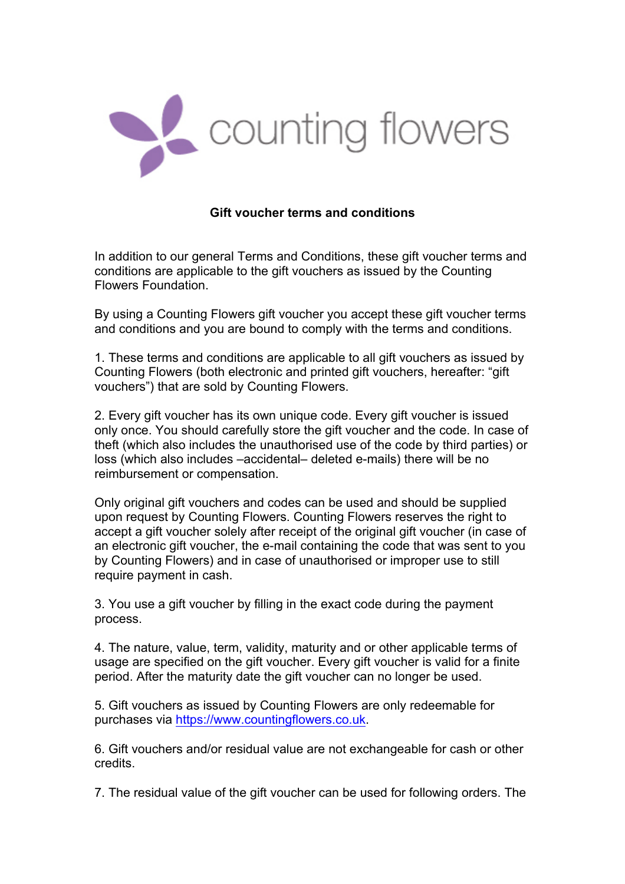

## **Gift voucher terms and conditions**

In addition to our general Terms and Conditions, these gift voucher terms and conditions are applicable to the gift vouchers as issued by the Counting Flowers Foundation.

By using a Counting Flowers gift voucher you accept these gift voucher terms and conditions and you are bound to comply with the terms and conditions.

1. These terms and conditions are applicable to all gift vouchers as issued by Counting Flowers (both electronic and printed gift vouchers, hereafter: "gift vouchers") that are sold by Counting Flowers.

2. Every gift voucher has its own unique code. Every gift voucher is issued only once. You should carefully store the gift voucher and the code. In case of theft (which also includes the unauthorised use of the code by third parties) or loss (which also includes –accidental– deleted e-mails) there will be no reimbursement or compensation.

Only original gift vouchers and codes can be used and should be supplied upon request by Counting Flowers. Counting Flowers reserves the right to accept a gift voucher solely after receipt of the original gift voucher (in case of an electronic gift voucher, the e-mail containing the code that was sent to you by Counting Flowers) and in case of unauthorised or improper use to still require payment in cash.

3. You use a gift voucher by filling in the exact code during the payment process.

4. The nature, value, term, validity, maturity and or other applicable terms of usage are specified on the gift voucher. Every gift voucher is valid for a finite period. After the maturity date the gift voucher can no longer be used.

5. Gift vouchers as issued by Counting Flowers are only redeemable for purchases via https://www.countingflowers.co.uk.

6. Gift vouchers and/or residual value are not exchangeable for cash or other credits.

7. The residual value of the gift voucher can be used for following orders. The